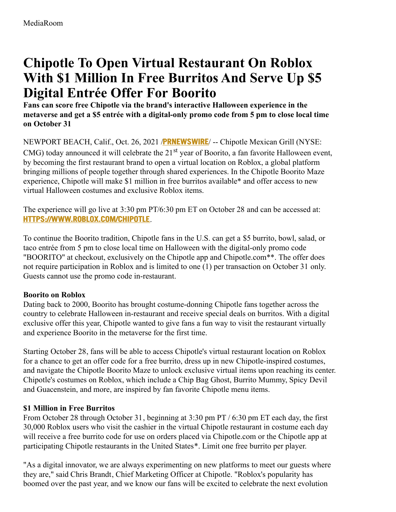# **Chipotle To Open Virtual Restaurant On Roblox With \$1 Million In Free Burritos And Serve Up \$5 Digital Entrée Offer For Boorito**

**Fans can score free Chipotle via the brand's interactive Halloween experience in the metaverse and get a \$5 entrée with a digital-only promo code from 5 pm to close local time on October 31**

NEWPORT BEACH, Calif., Oct. 26, 2021 /**[PRNEWSWIRE](http://www.prnewswire.com/)**/ -- Chipotle Mexican Grill (NYSE: CMG) today announced it will celebrate the 21<sup>st</sup> year of Boorito, a fan favorite Halloween event, by becoming the first restaurant brand to open a virtual location on Roblox, a global platform bringing millions of people together through shared experiences. In the Chipotle Boorito Maze experience, Chipotle will make \$1 million in free burritos available\* and offer access to new virtual Halloween costumes and exclusive Roblox items.

The experience will go live at 3:30 pm PT/6:30 pm ET on October 28 and can be accessed at: **[HTTPS://WWW.ROBLOX.COM/CHIPOTLE](https://c212.net/c/link/?t=0&l=en&o=3335424-1&h=1810597502&u=https%3A%2F%2Fwww.roblox.com%2Fchipotle&a=https%3A%2F%2Fwww.roblox.com%2Fchipotle)**.

To continue the Boorito tradition, Chipotle fans in the U.S. can get a \$5 burrito, bowl, salad, or taco entrée from 5 pm to close local time on Halloween with the digital-only promo code "BOORITO" at checkout, exclusively on the Chipotle app and Chipotle.com\*\*. The offer does not require participation in Roblox and is limited to one (1) per transaction on October 31 only. Guests cannot use the promo code in-restaurant.

## **Boorito on Roblox**

Dating back to 2000, Boorito has brought costume-donning Chipotle fans together across the country to celebrate Halloween in-restaurant and receive special deals on burritos. With a digital exclusive offer this year, Chipotle wanted to give fans a fun way to visit the restaurant virtually and experience Boorito in the metaverse for the first time.

Starting October 28, fans will be able to access Chipotle's virtual restaurant location on Roblox for a chance to get an offer code for a free burrito, dress up in new Chipotle-inspired costumes, and navigate the Chipotle Boorito Maze to unlock exclusive virtual items upon reaching its center. Chipotle's costumes on Roblox, which include a Chip Bag Ghost, Burrito Mummy, Spicy Devil and Guacenstein, and more, are inspired by fan favorite Chipotle menu items.

#### **\$1 Million in Free Burritos**

From October 28 through October 31, beginning at 3:30 pm PT / 6:30 pm ET each day, the first 30,000 Roblox users who visit the cashier in the virtual Chipotle restaurant in costume each day will receive a free burrito code for use on orders placed via Chipotle.com or the Chipotle app at participating Chipotle restaurants in the United States\*. Limit one free burrito per player.

"As a digital innovator, we are always experimenting on new platforms to meet our guests where they are," said Chris Brandt, Chief Marketing Officer at Chipotle. "Roblox's popularity has boomed over the past year, and we know our fans will be excited to celebrate the next evolution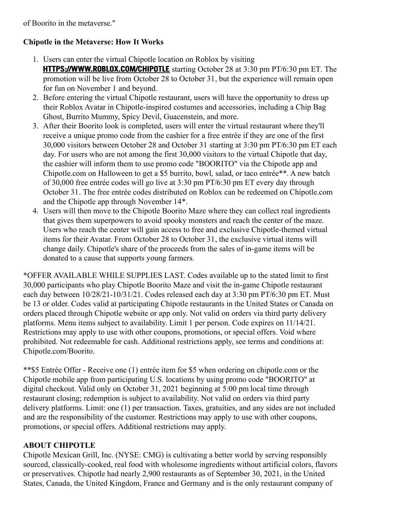of Boorito in the metaverse."

## **Chipotle in the Metaverse: How It Works**

- 1. Users can enter the virtual Chipotle location on Roblox by visiting **[HTTPS://WWW.ROBLOX.COM/CHIPOTLE](https://c212.net/c/link/?t=0&l=en&o=3335424-1&h=1810597502&u=https%3A%2F%2Fwww.roblox.com%2Fchipotle&a=https%3A%2F%2Fwww.roblox.com%2Fchipotle)** starting October 28 at 3:30 pm PT/6:30 pm ET. The promotion will be live from October 28 to October 31, but the experience will remain open for fun on November 1 and beyond.
- 2. Before entering the virtual Chipotle restaurant, users will have the opportunity to dress up their Roblox Avatar in Chipotle-inspired costumes and accessories, including a Chip Bag Ghost, Burrito Mummy, Spicy Devil, Guacenstein, and more.
- 3. After their Boorito look is completed, users will enter the virtual restaurant where they'll receive a unique promo code from the cashier for a free entrée if they are one of the first 30,000 visitors between October 28 and October 31 starting at 3:30 pm PT/6:30 pm ET each day. For users who are not among the first 30,000 visitors to the virtual Chipotle that day, the cashier will inform them to use promo code "BOORITO" via the Chipotle app and Chipotle.com on Halloween to get a \$5 burrito, bowl, salad, or taco entrée\*\*. A new batch of 30,000 free entrée codes will go live at 3:30 pm PT/6:30 pm ET every day through October 31. The free entrée codes distributed on Roblox can be redeemed on Chipotle.com and the Chipotle app through November 14\*.
- 4. Users will then move to the Chipotle Boorito Maze where they can collect real ingredients that gives them superpowers to avoid spooky monsters and reach the center of the maze. Users who reach the center will gain access to free and exclusive Chipotle-themed virtual items for their Avatar. From October 28 to October 31, the exclusive virtual items will change daily. Chipotle's share of the proceeds from the sales of in-game items will be donated to a cause that supports young farmers.

\*OFFER AVAILABLE WHILE SUPPLIES LAST. Codes available up to the stated limit to first 30,000 participants who play Chipotle Boorito Maze and visit the in-game Chipotle restaurant each day between 10/28/21-10/31/21. Codes released each day at 3:30 pm PT/6:30 pm ET. Must be 13 or older. Codes valid at participating Chipotle restaurants in the United States or Canada on orders placed through Chipotle website or app only. Not valid on orders via third party delivery platforms. Menu items subject to availability. Limit 1 per person. Code expires on 11/14/21. Restrictions may apply to use with other coupons, promotions, or special offers. Void where prohibited. Not redeemable for cash. Additional restrictions apply, see terms and conditions at: Chipotle.com/Boorito.

\*\*\$5 Entrée Offer - Receive one (1) entrée item for \$5 when ordering on chipotle.com or the Chipotle mobile app from participating U.S. locations by using promo code "BOORITO" at digital checkout. Valid only on October 31, 2021 beginning at 5:00 pm local time through restaurant closing; redemption is subject to availability. Not valid on orders via third party delivery platforms. Limit: one (1) per transaction. Taxes, gratuities, and any sides are not included and are the responsibility of the customer. Restrictions may apply to use with other coupons, promotions, or special offers. Additional restrictions may apply.

#### **ABOUT CHIPOTLE**

Chipotle Mexican Grill, Inc. (NYSE: CMG) is cultivating a better world by serving responsibly sourced, classically-cooked, real food with wholesome ingredients without artificial colors, flavors or preservatives. Chipotle had nearly 2,900 restaurants as of September 30, 2021, in the United States, Canada, the United Kingdom, France and Germany and is the only restaurant company of